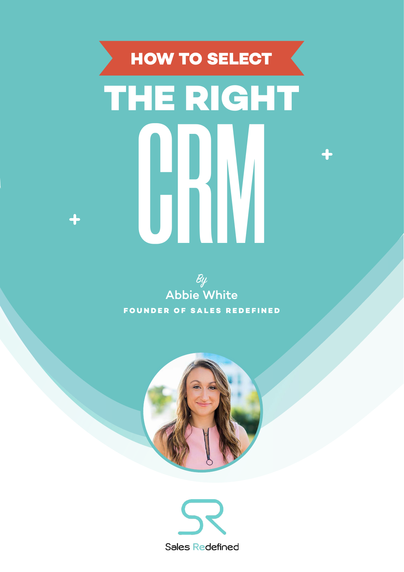## **THE RIGHT** *CRM* **HOW TO SELECT**





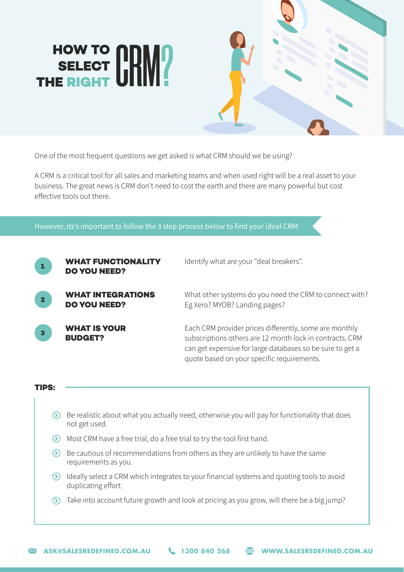## **HOW TO SELECT THE RIGHT** *CRM?*



One of the most frequent questions we get asked is what CRM should we be using?

A CRM is a critical tool for all sales and marketing teams and when used right will be a real asset to your business. The great news is CRM don't need to cost the earth and there are many powerful but cost effective tools out there.

However, its's important to follow the 3 step process below to find your ideal CRM:



**WHAT FUNCTIONALITY DO YOU NEED?** Identify what are your "deal breakers".

What other systems do you need the CRM to connect with? Eg Xero? MYOB? Landing pages?

**WHAT IS YOUR BUDGET? 3**

Each CRM provider prices differently, some are monthly subscriptions others are 12 month lock in contracts. CRM can get expensive for large databases so be sure to get a quote based on your specific requirements.

## **TIPS:**

- $\odot$  Be realistic about what you actually need, otherwise you will pay for functionality that does not get used.
- $\odot$  Most CRM have a free trial, do a free trial to try the tool first hand.
- $\odot$  Be cautious of recommendations from others as they are unlikely to have the same requirements as you.
- Ideally select a CRM which integrates to your financial systems and quoting tools to avoid duplicating effort.
- Take into account future growth and look at pricing as you grow, will there be a big jump?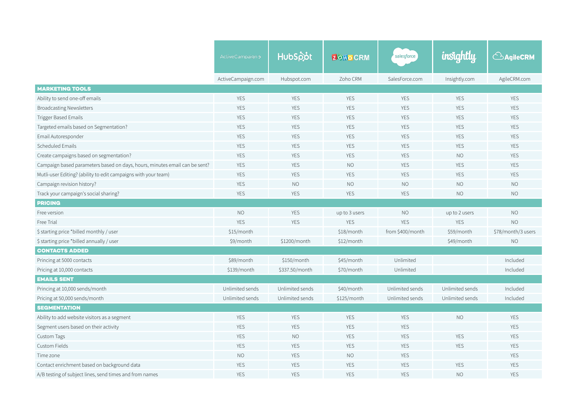|                                                                            | ActiveCampaign >   | HubSpot                  | <b>ZOHOCRM</b>           | salesforce       | <i>insightly</i> | <b>BAgileCRM</b>   |  |
|----------------------------------------------------------------------------|--------------------|--------------------------|--------------------------|------------------|------------------|--------------------|--|
|                                                                            | ActiveCampaign.com | Hubspot.com              | Zoho CRM                 | SalesForce.com   | Insightly.com    | AgileCRM.com       |  |
| <b>MARKETING TOOLS</b>                                                     |                    |                          |                          |                  |                  |                    |  |
| Ability to send one-off emails                                             | <b>YES</b>         | <b>YES</b>               | <b>YES</b>               | <b>YES</b>       | <b>YES</b>       | <b>YES</b>         |  |
| <b>Broadcasting Newsletters</b>                                            | YES                | <b>YES</b>               | <b>YES</b>               | <b>YES</b>       | <b>YES</b>       | <b>YES</b>         |  |
| <b>Trigger Based Emails</b>                                                | YES                | <b>YES</b>               | <b>YES</b>               | <b>YES</b>       | <b>YES</b>       | <b>YES</b>         |  |
| Targeted emails based on Segmentation?                                     | <b>YES</b>         | <b>YES</b>               | <b>YES</b>               |                  | <b>YES</b>       | <b>YES</b>         |  |
| Email Autoresponder                                                        | <b>YES</b>         | <b>YES</b>               | <b>YES</b><br><b>YES</b> |                  | <b>YES</b>       | <b>YES</b>         |  |
| Scheduled Emails                                                           | <b>YES</b>         | <b>YES</b>               | <b>YES</b>               | <b>YES</b>       | <b>YES</b>       | <b>YES</b>         |  |
| Create campaigns based on segmentation?                                    | <b>YES</b>         | <b>YES</b>               | <b>YES</b>               | <b>YES</b>       | <b>NO</b>        | <b>YES</b>         |  |
| Campaign based parameters based on days, hours, minutes email can be sent? | <b>YES</b>         | <b>YES</b>               | <b>NO</b>                | <b>YES</b>       | <b>YES</b>       | <b>YES</b>         |  |
| Mutli-user Editing? (ability to edit campaigns with your team)             | <b>YES</b>         | <b>YES</b>               | <b>YES</b>               | <b>YES</b>       | <b>YES</b>       | <b>YES</b>         |  |
| Campaign revision history?                                                 | <b>YES</b>         | NO<br><b>NO</b>          |                          | <b>NO</b>        | <b>NO</b>        | <b>NO</b>          |  |
| Track your campaign's social sharing?                                      | <b>YES</b>         | <b>YES</b><br><b>YES</b> |                          | <b>YES</b>       | <b>NO</b>        | <b>NO</b>          |  |
| <b>PRICING</b>                                                             |                    |                          |                          |                  |                  |                    |  |
| Free version                                                               | NO                 | <b>YES</b>               | up to 3 users            | <b>NO</b>        | up to 2 users    | <b>NO</b>          |  |
| Free Trial                                                                 | <b>YES</b>         | <b>YES</b>               | <b>YES</b><br><b>YES</b> |                  | <b>YES</b>       | <b>NO</b>          |  |
| \$ starting price *billed monthly / user                                   | \$15/month         |                          | \$18/month               | from \$400/month | \$59/month       | \$78/month/3 users |  |
| \$ starting price *billed annually / user                                  | \$9/month          | \$1200/month             | \$12/month               |                  | \$49/month       | NO                 |  |
| <b>CONTACTS ADDED</b>                                                      |                    |                          |                          |                  |                  |                    |  |
| Princing at 5000 contacts                                                  | \$89/month         | \$150/month              | \$45/month               | Unlimited        |                  | Included           |  |
| Pricing at 10,000 contacts                                                 | \$139/month        | \$337.50/month           | \$70/month               | Unlimited        |                  | Included           |  |
| <b>EMAILS SENT</b>                                                         |                    |                          |                          |                  |                  |                    |  |
| Princing at 10,000 sends/month                                             | Unlimited sends    | Unlimited sends          | \$40/month               | Unlimited sends  | Unlimited sends  | Included           |  |
| Pricing at 50,000 sends/month                                              | Unlimited sends    | Unlimited sends          | \$125/month              | Unlimited sends  | Unlimited sends  | Included           |  |
| <b>SEGMENTATION</b>                                                        |                    |                          |                          |                  |                  |                    |  |
| Ability to add website visitors as a segment                               | <b>YES</b>         | <b>YES</b>               | <b>YES</b>               | <b>YES</b>       | <b>NO</b>        | <b>YES</b>         |  |
| Segment users based on their activity                                      | <b>YES</b>         | <b>YES</b>               | <b>YES</b>               | <b>YES</b>       |                  | <b>YES</b>         |  |
| Custom Tags                                                                | <b>YES</b>         | <b>NO</b>                | <b>YES</b>               | <b>YES</b>       | <b>YES</b>       | <b>YES</b>         |  |
| Custom Fields                                                              | <b>YES</b>         | <b>YES</b>               | <b>YES</b>               | <b>YES</b>       | <b>YES</b>       | <b>YES</b>         |  |
| Time zone                                                                  | <b>NO</b>          | <b>YES</b>               | <b>NO</b>                | <b>YES</b>       |                  | <b>YES</b>         |  |
| Contact enrichment based on background data                                | <b>YES</b>         | <b>YES</b>               | <b>YES</b>               | <b>YES</b>       | <b>YES</b>       | <b>YES</b>         |  |
| A/B testing of subject lines, send times and from names                    | <b>YES</b>         | <b>YES</b>               | <b>YES</b>               | <b>YES</b>       | NO               | <b>YES</b>         |  |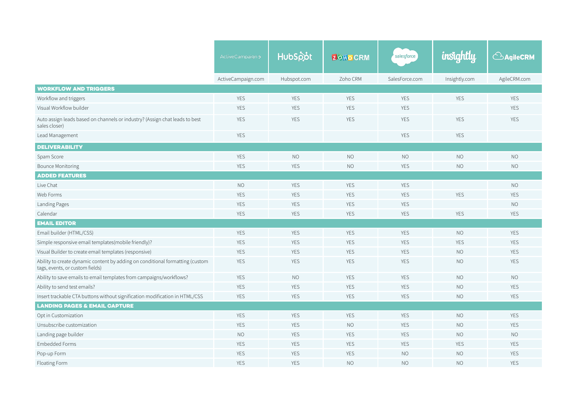|                                                                                                                  | ActiveCampaign>    | HubSpot                  | <b>ZOHOCRM</b>           | salesforce     | insightly     | <b>AgileCRM</b> |  |
|------------------------------------------------------------------------------------------------------------------|--------------------|--------------------------|--------------------------|----------------|---------------|-----------------|--|
|                                                                                                                  |                    |                          |                          |                |               |                 |  |
|                                                                                                                  | ActiveCampaign.com | Hubspot.com              | Zoho CRM                 | SalesForce.com | Insightly.com | AgileCRM.com    |  |
| <b>WORKFLOW AND TRIGGERS</b>                                                                                     |                    |                          |                          |                |               |                 |  |
| Workflow and triggers                                                                                            | <b>YES</b>         | <b>YES</b>               | <b>YES</b>               | <b>YES</b>     | YES           | <b>YES</b>      |  |
| Visual Workflow builder                                                                                          | <b>YES</b>         | <b>YES</b>               | <b>YES</b><br><b>YES</b> |                |               | <b>YES</b>      |  |
| Auto assign leads based on channels or industry? (Assign chat leads to best<br>sales closer)                     | <b>YES</b>         | <b>YES</b>               | <b>YES</b>               | <b>YES</b>     | <b>YES</b>    | <b>YES</b>      |  |
| Lead Management                                                                                                  | <b>YES</b>         |                          |                          | <b>YES</b>     | <b>YES</b>    |                 |  |
| <b>DELIVERABILITY</b>                                                                                            |                    |                          |                          |                |               |                 |  |
| Spam Score                                                                                                       | <b>YES</b>         | <b>NO</b>                | <b>NO</b>                | <b>NO</b>      | <b>NO</b>     | <b>NO</b>       |  |
| <b>Bounce Monitoring</b>                                                                                         | <b>YES</b>         | <b>YES</b>               | <b>NO</b>                | <b>YES</b>     | <b>NO</b>     | <b>NO</b>       |  |
| <b>ADDED FEATURES</b>                                                                                            |                    |                          |                          |                |               |                 |  |
| Live Chat                                                                                                        | <b>NO</b>          | <b>YES</b>               | <b>YES</b>               | <b>YES</b>     |               | $\rm NO$        |  |
| Web Forms                                                                                                        | <b>YES</b>         | <b>YES</b>               | <b>YES</b>               | <b>YES</b>     | <b>YES</b>    | <b>YES</b>      |  |
| Landing Pages                                                                                                    | <b>YES</b>         | <b>YES</b>               | <b>YES</b>               | <b>YES</b>     |               | NO              |  |
| Calendar                                                                                                         | <b>YES</b>         | <b>YES</b>               | <b>YES</b>               | <b>YES</b>     | <b>YES</b>    | <b>YES</b>      |  |
| <b>EMAIL EDITOR</b>                                                                                              |                    |                          |                          |                |               |                 |  |
| Email builder (HTML/CSS)                                                                                         | <b>YES</b>         | <b>YES</b>               | <b>YES</b>               | <b>YES</b>     | <b>NO</b>     | <b>YES</b>      |  |
| Simple responsive email templates(mobile friendly)?                                                              | <b>YES</b>         | <b>YES</b><br><b>YES</b> |                          | <b>YES</b>     | <b>YES</b>    | <b>YES</b>      |  |
| Visual Builder to create email templates (responsive)                                                            | <b>YES</b>         | YES                      | <b>YES</b>               | <b>YES</b>     | <b>NO</b>     | <b>YES</b>      |  |
| Ability to create dynamic content by adding on conditional formatting (custom<br>tags, events, or custom fields) | <b>YES</b>         | <b>YES</b>               | <b>YES</b>               | <b>YES</b>     | <b>NO</b>     | <b>YES</b>      |  |
| Ability to save emails to email templates from campaigns/workflows?                                              | <b>YES</b>         | <b>NO</b>                | <b>YES</b>               | <b>YES</b>     | <b>NO</b>     | <b>NO</b>       |  |
| Ability to send test emails?                                                                                     | <b>YES</b>         | <b>YES</b>               | <b>YES</b>               | <b>YES</b>     | <b>NO</b>     | <b>YES</b>      |  |
| Insert trackable CTA buttons without signification modification in HTML/CSS                                      | <b>YES</b>         | <b>YES</b>               | <b>YES</b>               | <b>YES</b>     | <b>NO</b>     | <b>YES</b>      |  |
| <b>LANDING PAGES &amp; EMAIL CAPTURE</b>                                                                         |                    |                          |                          |                |               |                 |  |
| Opt in Customization                                                                                             | <b>YES</b>         | <b>YES</b>               | <b>YES</b>               | <b>YES</b>     | NO            | <b>YES</b>      |  |
| Unsubscribe customization                                                                                        | <b>YES</b>         | <b>YES</b>               | <b>NO</b>                | <b>YES</b>     | <b>NO</b>     | <b>YES</b>      |  |
| Landing page builder                                                                                             | <b>NO</b>          | <b>YES</b>               | <b>YES</b>               | <b>YES</b>     | <b>NO</b>     | <b>NO</b>       |  |
| <b>Embedded Forms</b>                                                                                            | <b>YES</b>         | <b>YES</b>               | <b>YES</b>               | <b>YES</b>     | <b>YES</b>    | <b>YES</b>      |  |
| Pop-up Form                                                                                                      | <b>YES</b>         | <b>YES</b>               | <b>YES</b>               | <b>NO</b>      | NO            | <b>YES</b>      |  |
| Floating Form                                                                                                    | <b>YES</b>         | <b>YES</b>               | <b>NO</b>                | <b>NO</b>      | <b>NO</b>     | <b>YES</b>      |  |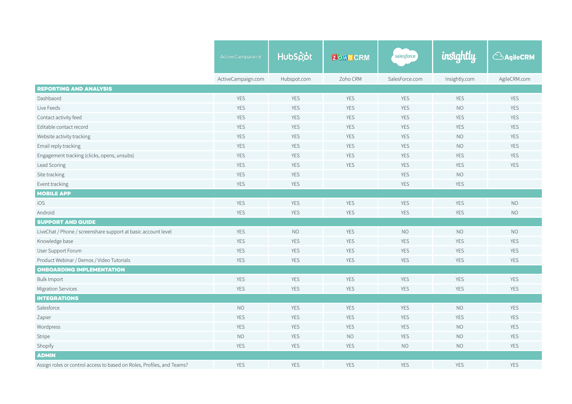|                                                                        | ActiveCampaign>    | HubSpot     | <b>ZOHOCRM</b> | salesforce     | insightly     | <b>CAgileCRM</b> |  |
|------------------------------------------------------------------------|--------------------|-------------|----------------|----------------|---------------|------------------|--|
|                                                                        |                    |             |                |                |               |                  |  |
|                                                                        | ActiveCampaign.com | Hubspot.com | Zoho CRM       | SalesForce.com | Insightly.com | AgileCRM.com     |  |
| <b>REPORTING AND ANALYSIS</b>                                          |                    |             |                |                |               |                  |  |
| Dashbaord                                                              | YES                | <b>YES</b>  | <b>YES</b>     | <b>YES</b>     | YES           | <b>YES</b>       |  |
| Live Feeds                                                             | YES                | <b>YES</b>  | <b>YES</b>     | <b>YES</b>     | <b>NO</b>     | <b>YES</b>       |  |
| Contact activity feed                                                  | YES                | YES         | <b>YES</b>     | YES            | YES           | <b>YES</b>       |  |
| Editable contact record                                                | <b>YES</b>         | <b>YES</b>  | <b>YES</b>     | <b>YES</b>     | <b>YES</b>    | <b>YES</b>       |  |
| Website activity tracking                                              | <b>YES</b>         | <b>YES</b>  | <b>YES</b>     | <b>YES</b>     | <b>NO</b>     | <b>YES</b>       |  |
| Email reply tracking                                                   | <b>YES</b>         | <b>YES</b>  | <b>YES</b>     | <b>YES</b>     |               | YES              |  |
| Engagement tracking (clicks, opens, unsubs)                            | <b>YES</b>         | <b>YES</b>  | <b>YES</b>     | <b>YES</b>     | <b>YES</b>    | YES              |  |
| Lead Scoring                                                           | YES                | <b>YES</b>  | <b>YES</b>     | <b>YES</b>     | YES           | <b>YES</b>       |  |
| Site tracking                                                          | <b>YES</b>         | <b>YES</b>  |                | <b>YES</b>     | <b>NO</b>     |                  |  |
| Event tracking                                                         | <b>YES</b>         | <b>YES</b>  |                | <b>YES</b>     | <b>YES</b>    |                  |  |
| <b>MOBILE APP</b>                                                      |                    |             |                |                |               |                  |  |
| iOS                                                                    | <b>YES</b>         | YES         | <b>YES</b>     | <b>YES</b>     | YES           | <b>NO</b>        |  |
| Android                                                                | <b>YES</b>         | <b>YES</b>  | <b>YES</b>     | <b>YES</b>     | <b>YES</b>    | <b>NO</b>        |  |
| <b>SUPPORT AND GUIDE</b>                                               |                    |             |                |                |               |                  |  |
| LiveChat / Phone / screenshare support at basic account level          | <b>YES</b>         | <b>NO</b>   | <b>YES</b>     | <b>NO</b>      | <b>NO</b>     | <b>NO</b>        |  |
| Knowledge base                                                         | <b>YES</b>         | <b>YES</b>  | <b>YES</b>     | <b>YES</b>     | YES           | <b>YES</b>       |  |
| User Support Forum                                                     | <b>YES</b>         | <b>YES</b>  | <b>YES</b>     | <b>YES</b>     | YES           | <b>YES</b>       |  |
| Product Webinar / Demos / Video Tutorials                              | <b>YES</b>         | <b>YES</b>  | <b>YES</b>     | <b>YES</b>     | <b>YES</b>    | <b>YES</b>       |  |
| <b>ONBOARDING IMPLEMENTATION</b>                                       |                    |             |                |                |               |                  |  |
| <b>Bulk Import</b>                                                     | <b>YES</b>         | YES         | <b>YES</b>     | <b>YES</b>     | <b>YES</b>    | YES              |  |
| <b>Migration Services</b>                                              | <b>YES</b>         | <b>YES</b>  | <b>YES</b>     | <b>YES</b>     | YES           | <b>YES</b>       |  |
| <b>INTEGRATIONS</b>                                                    |                    |             |                |                |               |                  |  |
| Salesforce                                                             | <b>NO</b>          | <b>YES</b>  | <b>YES</b>     | <b>YES</b>     | <b>NO</b>     | <b>YES</b>       |  |
| Zapier                                                                 | <b>YES</b>         | <b>YES</b>  | <b>YES</b>     | <b>YES</b>     | YES           | <b>YES</b>       |  |
| Wordpress                                                              | <b>YES</b>         | <b>YES</b>  | <b>YES</b>     | <b>YES</b>     | <b>NO</b>     | YES              |  |
| Stripe                                                                 | <b>NO</b>          | YES         | <b>NO</b>      | <b>YES</b>     | <b>NO</b>     | <b>YES</b>       |  |
| Shopify                                                                | <b>YES</b>         | <b>YES</b>  | <b>YES</b>     | <b>NO</b>      | <b>NO</b>     | <b>YES</b>       |  |
| <b>ADMIN</b>                                                           |                    |             |                |                |               |                  |  |
| Assign roles or control access to based on Roles, Profiles, and Teams? | <b>YES</b>         | <b>YES</b>  | <b>YES</b>     | <b>YES</b>     | <b>YES</b>    | <b>YES</b>       |  |